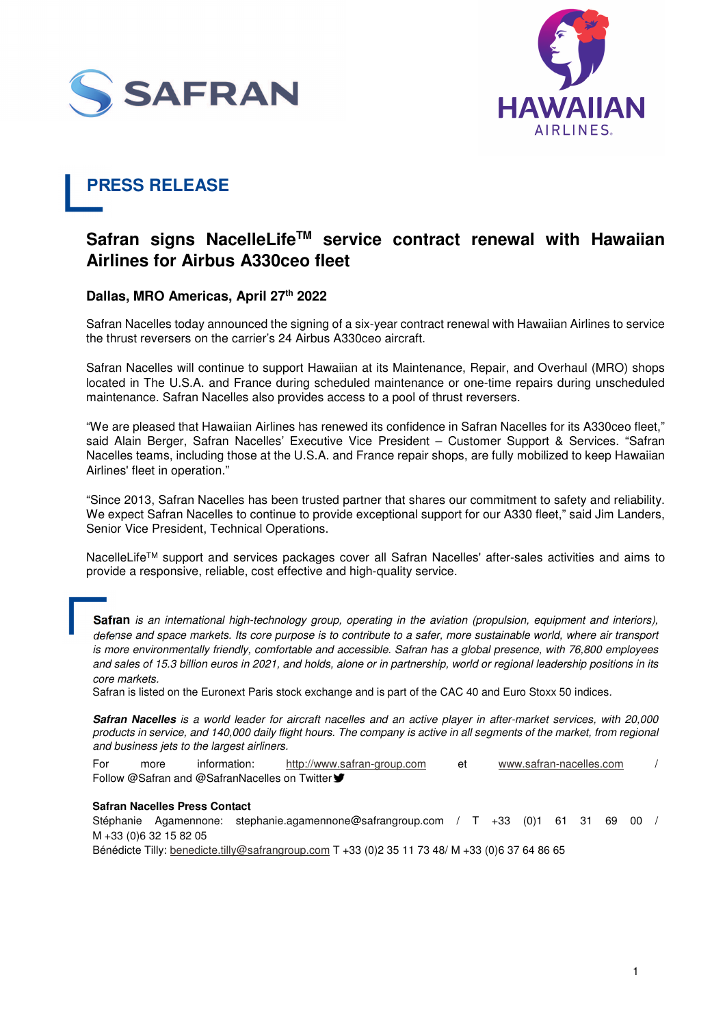



# **PRESS RELEASE**

## **Safran signs NacelleLifeTM service contract renewal with Hawaiian Airlines for Airbus A330ceo fleet**

### **Dallas, MRO Americas, April 27th 2022**

Safran Nacelles today announced the signing of a six-year contract renewal with Hawaiian Airlines to service the thrust reversers on the carrier's 24 Airbus A330ceo aircraft.

Safran Nacelles will continue to support Hawaiian at its Maintenance, Repair, and Overhaul (MRO) shops located in The U.S.A. and France during scheduled maintenance or one-time repairs during unscheduled maintenance. Safran Nacelles also provides access to a pool of thrust reversers.

"We are pleased that Hawaiian Airlines has renewed its confidence in Safran Nacelles for its A330ceo fleet," said Alain Berger, Safran Nacelles' Executive Vice President – Customer Support & Services. "Safran Nacelles teams, including those at the U.S.A. and France repair shops, are fully mobilized to keep Hawaiian Airlines' fleet in operation."

"Since 2013, Safran Nacelles has been trusted partner that shares our commitment to safety and reliability. We expect Safran Nacelles to continue to provide exceptional support for our A330 fleet," said Jim Landers, Senior Vice President, Technical Operations.

NacelleLife™ support and services packages cover all Safran Nacelles' after-sales activities and aims to provide a responsive, reliable, cost effective and high-quality service.

Safran is an international high-technology group, operating in the aviation (propulsion, equipment and interiors). defense and space markets. Its core purpose is to contribute to a safer, more sustainable world, where air transport is more environmentally friendly, comfortable and accessible. Safran has a global presence, with 76,800 employees and sales of 15.3 billion euros in 2021, and holds, alone or in partnership, world or regional leadership positions in its core markets.

Safran is listed on the Euronext Paris stock exchange and is part of the CAC 40 and Euro Stoxx 50 indices.

**Safran Nacelles** is a world leader for aircraft nacelles and an active player in after-market services, with 20,000 products in service, and 140,000 daily flight hours. The company is active in all segments of the market, from regional and business jets to the largest airliners.

For more information: http://www.safran-group.com et www.safran-nacelles.com / Follow @Safran and @SafranNacelles on Twitter ♥

#### **Safran Nacelles Press Contact**

Stéphanie Agamennone: stephanie.agamennone@safrangroup.com / T +33 (0)1 61 31 69 00 / M +33 (0)6 32 15 82 05

Bénédicte Tilly: benedicte.tilly@safrangroup.com T +33 (0)2 35 11 73 48/ M +33 (0)6 37 64 86 65